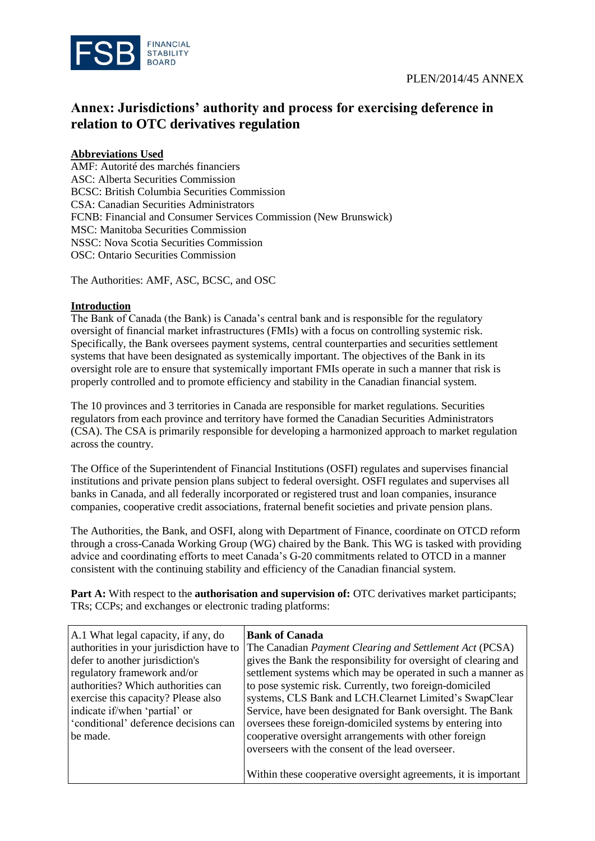

## **Annex: Jurisdictions' authority and process for exercising deference in relation to OTC derivatives regulation**

## **Abbreviations Used**

AMF: Autorité des marchés financiers ASC: Alberta Securities Commission BCSC: British Columbia Securities Commission CSA: Canadian Securities Administrators FCNB: Financial and Consumer Services Commission (New Brunswick) MSC: Manitoba Securities Commission NSSC: Nova Scotia Securities Commission OSC: Ontario Securities Commission

The Authorities: AMF, ASC, BCSC, and OSC

## **Introduction**

The Bank of Canada (the Bank) is Canada's central bank and is responsible for the regulatory oversight of financial market infrastructures (FMIs) with a focus on controlling systemic risk. Specifically, the Bank oversees payment systems, central counterparties and securities settlement systems that have been designated as systemically important. The objectives of the Bank in its oversight role are to ensure that systemically important FMIs operate in such a manner that risk is properly controlled and to promote efficiency and stability in the Canadian financial system.

The 10 provinces and 3 territories in Canada are responsible for market regulations. Securities regulators from each province and territory have formed the Canadian Securities Administrators (CSA). The CSA is primarily responsible for developing a harmonized approach to market regulation across the country.

The Office of the Superintendent of Financial Institutions (OSFI) regulates and supervises financial institutions and private pension plans subject to federal oversight. OSFI regulates and supervises all banks in Canada, and all federally incorporated or registered trust and loan companies, insurance companies, cooperative credit associations, fraternal benefit societies and private pension plans.

The Authorities, the Bank, and OSFI, along with Department of Finance, coordinate on OTCD reform through a cross-Canada Working Group (WG) chaired by the Bank. This WG is tasked with providing advice and coordinating efforts to meet Canada's G-20 commitments related to OTCD in a manner consistent with the continuing stability and efficiency of the Canadian financial system.

**Part A:** With respect to the **authorisation and supervision of:** OTC derivatives market participants; TRs; CCPs; and exchanges or electronic trading platforms:

| A.1 What legal capacity, if any, do      | <b>Bank of Canada</b>                                           |
|------------------------------------------|-----------------------------------------------------------------|
| authorities in your jurisdiction have to | The Canadian Payment Clearing and Settlement Act (PCSA)         |
| defer to another jurisdiction's          | gives the Bank the responsibility for oversight of clearing and |
| regulatory framework and/or              | settlement systems which may be operated in such a manner as    |
| authorities? Which authorities can       | to pose systemic risk. Currently, two foreign-domiciled         |
| exercise this capacity? Please also      | systems, CLS Bank and LCH.Clearnet Limited's SwapClear          |
| indicate if/when 'partial' or            | Service, have been designated for Bank oversight. The Bank      |
| 'conditional' deference decisions can    | oversees these foreign-domiciled systems by entering into       |
| be made.                                 | cooperative oversight arrangements with other foreign           |
|                                          | overseers with the consent of the lead overseer.                |
|                                          |                                                                 |
|                                          | Within these cooperative oversight agreements, it is important  |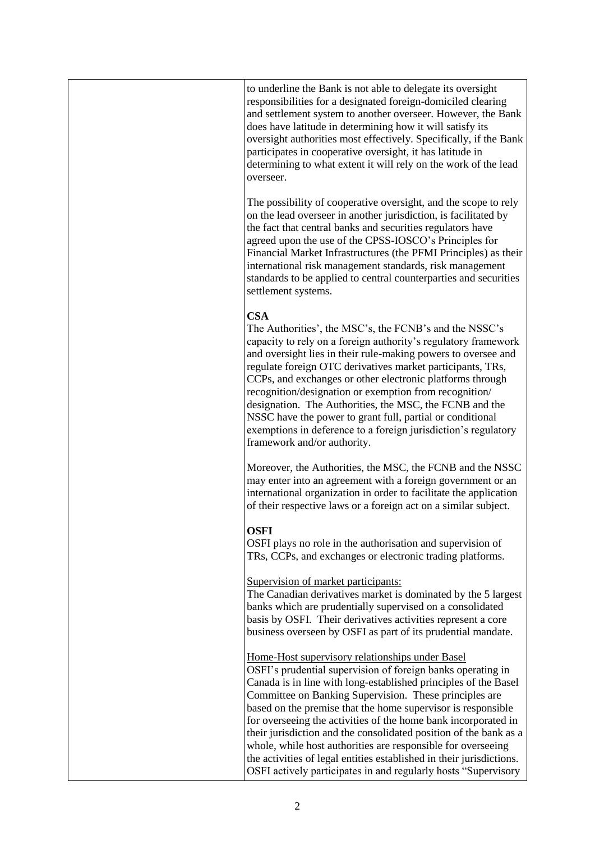| to underline the Bank is not able to delegate its oversight<br>responsibilities for a designated foreign-domiciled clearing<br>and settlement system to another overseer. However, the Bank<br>does have latitude in determining how it will satisfy its<br>oversight authorities most effectively. Specifically, if the Bank<br>participates in cooperative oversight, it has latitude in<br>determining to what extent it will rely on the work of the lead<br>overseer.                                                                                                                                                                                   |
|--------------------------------------------------------------------------------------------------------------------------------------------------------------------------------------------------------------------------------------------------------------------------------------------------------------------------------------------------------------------------------------------------------------------------------------------------------------------------------------------------------------------------------------------------------------------------------------------------------------------------------------------------------------|
| The possibility of cooperative oversight, and the scope to rely<br>on the lead overseer in another jurisdiction, is facilitated by<br>the fact that central banks and securities regulators have<br>agreed upon the use of the CPSS-IOSCO's Principles for<br>Financial Market Infrastructures (the PFMI Principles) as their<br>international risk management standards, risk management<br>standards to be applied to central counterparties and securities<br>settlement systems.                                                                                                                                                                         |
| <b>CSA</b><br>The Authorities', the MSC's, the FCNB's and the NSSC's<br>capacity to rely on a foreign authority's regulatory framework<br>and oversight lies in their rule-making powers to oversee and<br>regulate foreign OTC derivatives market participants, TRs,<br>CCPs, and exchanges or other electronic platforms through<br>recognition/designation or exemption from recognition/<br>designation. The Authorities, the MSC, the FCNB and the<br>NSSC have the power to grant full, partial or conditional<br>exemptions in deference to a foreign jurisdiction's regulatory<br>framework and/or authority.                                        |
| Moreover, the Authorities, the MSC, the FCNB and the NSSC<br>may enter into an agreement with a foreign government or an<br>international organization in order to facilitate the application<br>of their respective laws or a foreign act on a similar subject.                                                                                                                                                                                                                                                                                                                                                                                             |
| <b>OSFI</b><br>OSFI plays no role in the authorisation and supervision of<br>TRs, CCPs, and exchanges or electronic trading platforms.                                                                                                                                                                                                                                                                                                                                                                                                                                                                                                                       |
| Supervision of market participants:<br>The Canadian derivatives market is dominated by the 5 largest<br>banks which are prudentially supervised on a consolidated<br>basis by OSFI. Their derivatives activities represent a core<br>business overseen by OSFI as part of its prudential mandate.                                                                                                                                                                                                                                                                                                                                                            |
| Home-Host supervisory relationships under Basel<br>OSFI's prudential supervision of foreign banks operating in<br>Canada is in line with long-established principles of the Basel<br>Committee on Banking Supervision. These principles are<br>based on the premise that the home supervisor is responsible<br>for overseeing the activities of the home bank incorporated in<br>their jurisdiction and the consolidated position of the bank as a<br>whole, while host authorities are responsible for overseeing<br>the activities of legal entities established in their jurisdictions.<br>OSFI actively participates in and regularly hosts "Supervisory |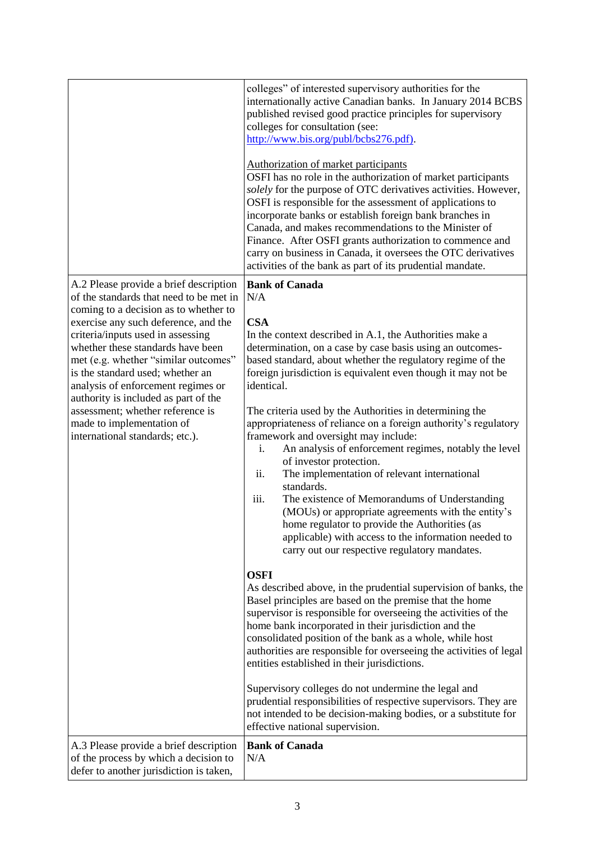|                                                                                                                                                                                                                                                                                                                                                                                                                                                                                                            | colleges" of interested supervisory authorities for the<br>internationally active Canadian banks. In January 2014 BCBS<br>published revised good practice principles for supervisory<br>colleges for consultation (see:<br>http://www.bis.org/publ/bcbs276.pdf).<br>Authorization of market participants<br>OSFI has no role in the authorization of market participants<br>solely for the purpose of OTC derivatives activities. However,<br>OSFI is responsible for the assessment of applications to<br>incorporate banks or establish foreign bank branches in<br>Canada, and makes recommendations to the Minister of<br>Finance. After OSFI grants authorization to commence and<br>carry on business in Canada, it oversees the OTC derivatives<br>activities of the bank as part of its prudential mandate.                                                                                                                                                                                                                                                                                                                                                                                                                                                                                                                   |
|------------------------------------------------------------------------------------------------------------------------------------------------------------------------------------------------------------------------------------------------------------------------------------------------------------------------------------------------------------------------------------------------------------------------------------------------------------------------------------------------------------|---------------------------------------------------------------------------------------------------------------------------------------------------------------------------------------------------------------------------------------------------------------------------------------------------------------------------------------------------------------------------------------------------------------------------------------------------------------------------------------------------------------------------------------------------------------------------------------------------------------------------------------------------------------------------------------------------------------------------------------------------------------------------------------------------------------------------------------------------------------------------------------------------------------------------------------------------------------------------------------------------------------------------------------------------------------------------------------------------------------------------------------------------------------------------------------------------------------------------------------------------------------------------------------------------------------------------------------|
| A.2 Please provide a brief description<br>of the standards that need to be met in<br>coming to a decision as to whether to<br>exercise any such deference, and the<br>criteria/inputs used in assessing<br>whether these standards have been<br>met (e.g. whether "similar outcomes"<br>is the standard used; whether an<br>analysis of enforcement regimes or<br>authority is included as part of the<br>assessment; whether reference is<br>made to implementation of<br>international standards; etc.). | <b>Bank of Canada</b><br>N/A<br><b>CSA</b><br>In the context described in A.1, the Authorities make a<br>determination, on a case by case basis using an outcomes-<br>based standard, about whether the regulatory regime of the<br>foreign jurisdiction is equivalent even though it may not be<br>identical.<br>The criteria used by the Authorities in determining the<br>appropriateness of reliance on a foreign authority's regulatory<br>framework and oversight may include:<br>An analysis of enforcement regimes, notably the level<br>i.<br>of investor protection.<br>The implementation of relevant international<br>ii.<br>standards.<br>iii.<br>The existence of Memorandums of Understanding<br>(MOUs) or appropriate agreements with the entity's<br>home regulator to provide the Authorities (as<br>applicable) with access to the information needed to<br>carry out our respective regulatory mandates.<br><b>OSFI</b><br>As described above, in the prudential supervision of banks, the<br>Basel principles are based on the premise that the home<br>supervisor is responsible for overseeing the activities of the<br>home bank incorporated in their jurisdiction and the<br>consolidated position of the bank as a whole, while host<br>authorities are responsible for overseeing the activities of legal |
| A.3 Please provide a brief description                                                                                                                                                                                                                                                                                                                                                                                                                                                                     | entities established in their jurisdictions.<br>Supervisory colleges do not undermine the legal and<br>prudential responsibilities of respective supervisors. They are<br>not intended to be decision-making bodies, or a substitute for<br>effective national supervision.<br><b>Bank of Canada</b>                                                                                                                                                                                                                                                                                                                                                                                                                                                                                                                                                                                                                                                                                                                                                                                                                                                                                                                                                                                                                                  |
| of the process by which a decision to<br>defer to another jurisdiction is taken,                                                                                                                                                                                                                                                                                                                                                                                                                           | N/A                                                                                                                                                                                                                                                                                                                                                                                                                                                                                                                                                                                                                                                                                                                                                                                                                                                                                                                                                                                                                                                                                                                                                                                                                                                                                                                                   |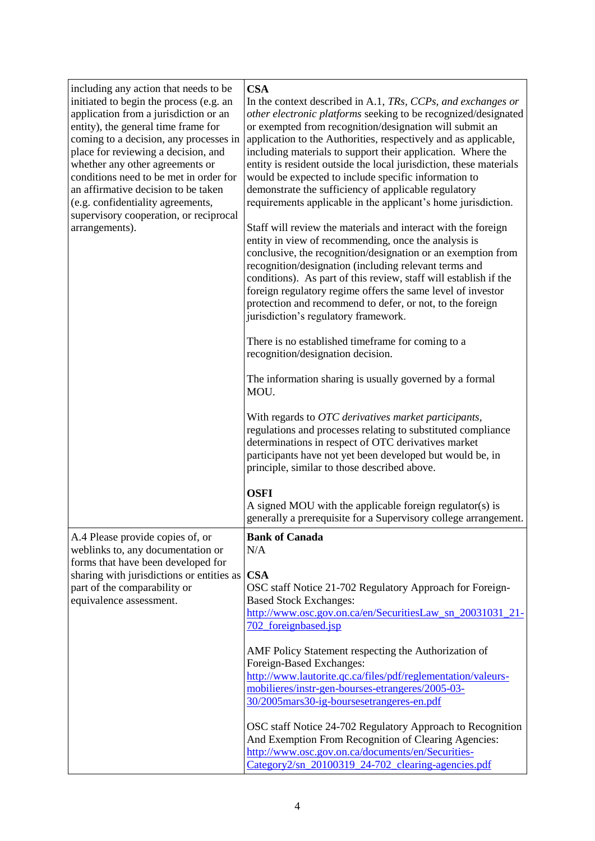| including any action that needs to be<br>initiated to begin the process (e.g. an<br>application from a jurisdiction or an<br>entity), the general time frame for<br>coming to a decision, any processes in<br>place for reviewing a decision, and<br>whether any other agreements or<br>conditions need to be met in order for<br>an affirmative decision to be taken<br>(e.g. confidentiality agreements,<br>supervisory cooperation, or reciprocal<br>arrangements). | <b>CSA</b><br>In the context described in A.1, TRs, CCPs, and exchanges or<br>other electronic platforms seeking to be recognized/designated<br>or exempted from recognition/designation will submit an<br>application to the Authorities, respectively and as applicable,<br>including materials to support their application. Where the<br>entity is resident outside the local jurisdiction, these materials<br>would be expected to include specific information to<br>demonstrate the sufficiency of applicable regulatory<br>requirements applicable in the applicant's home jurisdiction.<br>Staff will review the materials and interact with the foreign<br>entity in view of recommending, once the analysis is<br>conclusive, the recognition/designation or an exemption from<br>recognition/designation (including relevant terms and<br>conditions). As part of this review, staff will establish if the<br>foreign regulatory regime offers the same level of investor<br>protection and recommend to defer, or not, to the foreign<br>jurisdiction's regulatory framework.<br>There is no established timeframe for coming to a<br>recognition/designation decision.<br>The information sharing is usually governed by a formal<br>MOU.<br>With regards to OTC derivatives market participants,<br>regulations and processes relating to substituted compliance<br>determinations in respect of OTC derivatives market<br>participants have not yet been developed but would be, in |
|------------------------------------------------------------------------------------------------------------------------------------------------------------------------------------------------------------------------------------------------------------------------------------------------------------------------------------------------------------------------------------------------------------------------------------------------------------------------|-----------------------------------------------------------------------------------------------------------------------------------------------------------------------------------------------------------------------------------------------------------------------------------------------------------------------------------------------------------------------------------------------------------------------------------------------------------------------------------------------------------------------------------------------------------------------------------------------------------------------------------------------------------------------------------------------------------------------------------------------------------------------------------------------------------------------------------------------------------------------------------------------------------------------------------------------------------------------------------------------------------------------------------------------------------------------------------------------------------------------------------------------------------------------------------------------------------------------------------------------------------------------------------------------------------------------------------------------------------------------------------------------------------------------------------------------------------------------------------------------------|
|                                                                                                                                                                                                                                                                                                                                                                                                                                                                        | principle, similar to those described above.<br><b>OSFI</b><br>A signed MOU with the applicable foreign regulator(s) is<br>generally a prerequisite for a Supervisory college arrangement.                                                                                                                                                                                                                                                                                                                                                                                                                                                                                                                                                                                                                                                                                                                                                                                                                                                                                                                                                                                                                                                                                                                                                                                                                                                                                                          |
|                                                                                                                                                                                                                                                                                                                                                                                                                                                                        | <b>Bank of Canada</b>                                                                                                                                                                                                                                                                                                                                                                                                                                                                                                                                                                                                                                                                                                                                                                                                                                                                                                                                                                                                                                                                                                                                                                                                                                                                                                                                                                                                                                                                               |
| A.4 Please provide copies of, or<br>weblinks to, any documentation or<br>forms that have been developed for<br>sharing with jurisdictions or entities as<br>part of the comparability or<br>equivalence assessment.                                                                                                                                                                                                                                                    | N/A<br><b>CSA</b><br>OSC staff Notice 21-702 Regulatory Approach for Foreign-<br><b>Based Stock Exchanges:</b><br>http://www.osc.gov.on.ca/en/SecuritiesLaw_sn_20031031_21-<br>702_foreignbased.jsp                                                                                                                                                                                                                                                                                                                                                                                                                                                                                                                                                                                                                                                                                                                                                                                                                                                                                                                                                                                                                                                                                                                                                                                                                                                                                                 |
|                                                                                                                                                                                                                                                                                                                                                                                                                                                                        | AMF Policy Statement respecting the Authorization of<br>Foreign-Based Exchanges:<br>http://www.lautorite.qc.ca/files/pdf/reglementation/valeurs-<br>mobilieres/instr-gen-bourses-etrangeres/2005-03-<br>30/2005mars30-ig-boursesetrangeres-en.pdf                                                                                                                                                                                                                                                                                                                                                                                                                                                                                                                                                                                                                                                                                                                                                                                                                                                                                                                                                                                                                                                                                                                                                                                                                                                   |
|                                                                                                                                                                                                                                                                                                                                                                                                                                                                        | OSC staff Notice 24-702 Regulatory Approach to Recognition<br>And Exemption From Recognition of Clearing Agencies:<br>http://www.osc.gov.on.ca/documents/en/Securities-<br>Category2/sn_20100319_24-702_clearing-agencies.pdf                                                                                                                                                                                                                                                                                                                                                                                                                                                                                                                                                                                                                                                                                                                                                                                                                                                                                                                                                                                                                                                                                                                                                                                                                                                                       |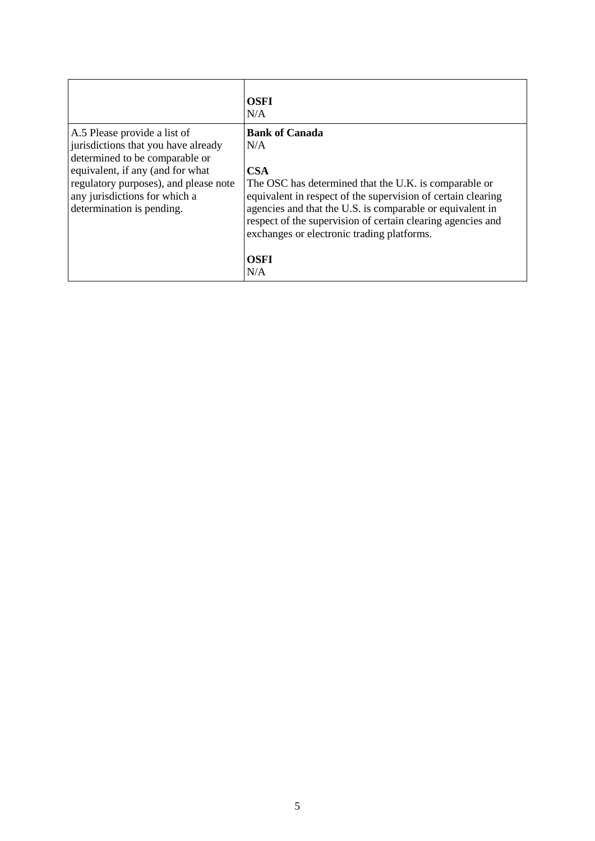|                                                                                                                                                                                                                                                  | <b>OSFI</b><br>N/A                                                                                                                                                                                                                                                                                                                                                  |
|--------------------------------------------------------------------------------------------------------------------------------------------------------------------------------------------------------------------------------------------------|---------------------------------------------------------------------------------------------------------------------------------------------------------------------------------------------------------------------------------------------------------------------------------------------------------------------------------------------------------------------|
| A.5 Please provide a list of<br>jurisdictions that you have already<br>determined to be comparable or<br>equivalent, if any (and for what<br>regulatory purposes), and please note<br>any jurisdictions for which a<br>determination is pending. | <b>Bank of Canada</b><br>N/A<br><b>CSA</b><br>The OSC has determined that the U.K. is comparable or<br>equivalent in respect of the supervision of certain clearing<br>agencies and that the U.S. is comparable or equivalent in<br>respect of the supervision of certain clearing agencies and<br>exchanges or electronic trading platforms.<br><b>OSFI</b><br>N/A |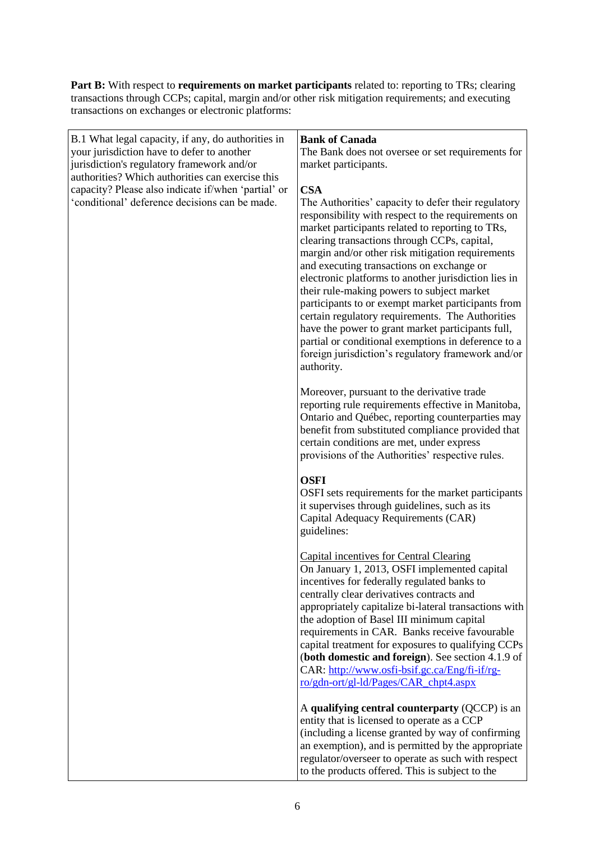**Part B:** With respect to **requirements on market participants** related to: reporting to TRs; clearing transactions through CCPs; capital, margin and/or other risk mitigation requirements; and executing transactions on exchanges or electronic platforms:

| B.1 What legal capacity, if any, do authorities in<br>your jurisdiction have to defer to another<br>jurisdiction's regulatory framework and/or<br>authorities? Which authorities can exercise this<br>capacity? Please also indicate if/when 'partial' or<br>'conditional' deference decisions can be made. | <b>Bank of Canada</b><br>The Bank does not oversee or set requirements for<br>market participants.<br><b>CSA</b><br>The Authorities' capacity to defer their regulatory<br>responsibility with respect to the requirements on<br>market participants related to reporting to TRs,<br>clearing transactions through CCPs, capital,<br>margin and/or other risk mitigation requirements<br>and executing transactions on exchange or<br>electronic platforms to another jurisdiction lies in<br>their rule-making powers to subject market               |
|-------------------------------------------------------------------------------------------------------------------------------------------------------------------------------------------------------------------------------------------------------------------------------------------------------------|--------------------------------------------------------------------------------------------------------------------------------------------------------------------------------------------------------------------------------------------------------------------------------------------------------------------------------------------------------------------------------------------------------------------------------------------------------------------------------------------------------------------------------------------------------|
|                                                                                                                                                                                                                                                                                                             | participants to or exempt market participants from<br>certain regulatory requirements. The Authorities<br>have the power to grant market participants full,<br>partial or conditional exemptions in deference to a<br>foreign jurisdiction's regulatory framework and/or<br>authority.                                                                                                                                                                                                                                                                 |
|                                                                                                                                                                                                                                                                                                             | Moreover, pursuant to the derivative trade<br>reporting rule requirements effective in Manitoba,<br>Ontario and Québec, reporting counterparties may<br>benefit from substituted compliance provided that<br>certain conditions are met, under express<br>provisions of the Authorities' respective rules.                                                                                                                                                                                                                                             |
|                                                                                                                                                                                                                                                                                                             | <b>OSFI</b><br>OSFI sets requirements for the market participants<br>it supervises through guidelines, such as its<br>Capital Adequacy Requirements (CAR)<br>guidelines:                                                                                                                                                                                                                                                                                                                                                                               |
|                                                                                                                                                                                                                                                                                                             | <b>Capital incentives for Central Clearing</b><br>On January 1, 2013, OSFI implemented capital<br>incentives for federally regulated banks to<br>centrally clear derivatives contracts and<br>appropriately capitalize bi-lateral transactions with<br>the adoption of Basel III minimum capital<br>requirements in CAR. Banks receive favourable<br>capital treatment for exposures to qualifying CCPs<br>(both domestic and foreign). See section 4.1.9 of<br>CAR: http://www.osfi-bsif.gc.ca/Eng/fi-if/rg-<br>ro/gdn-ort/gl-ld/Pages/CAR_chpt4.aspx |
|                                                                                                                                                                                                                                                                                                             | A qualifying central counterparty (QCCP) is an<br>entity that is licensed to operate as a CCP<br>(including a license granted by way of confirming<br>an exemption), and is permitted by the appropriate<br>regulator/overseer to operate as such with respect<br>to the products offered. This is subject to the                                                                                                                                                                                                                                      |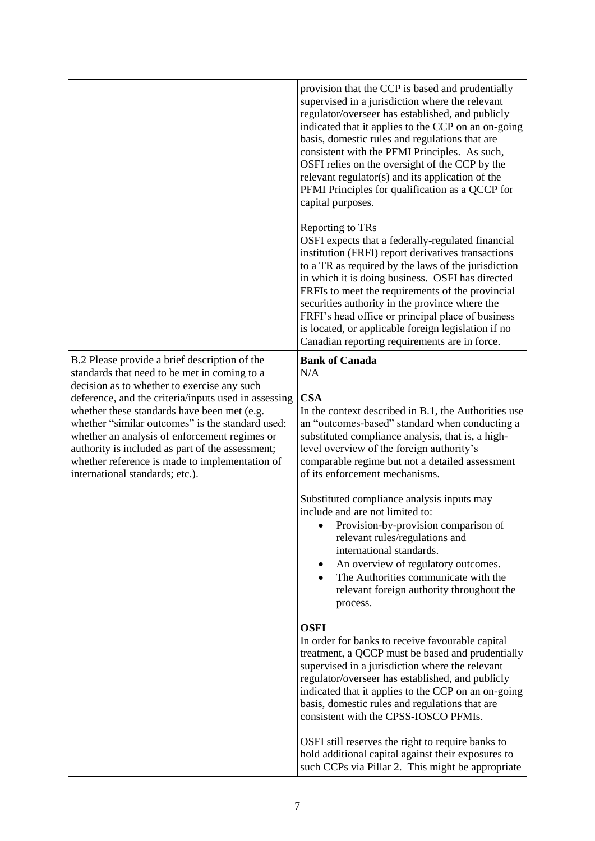|                                                                                                                                                                                                                                                                                                                                                                                                  | provision that the CCP is based and prudentially<br>supervised in a jurisdiction where the relevant<br>regulator/overseer has established, and publicly<br>indicated that it applies to the CCP on an on-going<br>basis, domestic rules and regulations that are<br>consistent with the PFMI Principles. As such,<br>OSFI relies on the oversight of the CCP by the<br>relevant regulator(s) and its application of the<br>PFMI Principles for qualification as a QCCP for<br>capital purposes.                  |
|--------------------------------------------------------------------------------------------------------------------------------------------------------------------------------------------------------------------------------------------------------------------------------------------------------------------------------------------------------------------------------------------------|------------------------------------------------------------------------------------------------------------------------------------------------------------------------------------------------------------------------------------------------------------------------------------------------------------------------------------------------------------------------------------------------------------------------------------------------------------------------------------------------------------------|
|                                                                                                                                                                                                                                                                                                                                                                                                  | <b>Reporting to TRs</b><br>OSFI expects that a federally-regulated financial<br>institution (FRFI) report derivatives transactions<br>to a TR as required by the laws of the jurisdiction<br>in which it is doing business. OSFI has directed<br>FRFIs to meet the requirements of the provincial<br>securities authority in the province where the<br>FRFI's head office or principal place of business<br>is located, or applicable foreign legislation if no<br>Canadian reporting requirements are in force. |
| B.2 Please provide a brief description of the<br>standards that need to be met in coming to a                                                                                                                                                                                                                                                                                                    | <b>Bank of Canada</b><br>N/A                                                                                                                                                                                                                                                                                                                                                                                                                                                                                     |
| decision as to whether to exercise any such<br>deference, and the criteria/inputs used in assessing<br>whether these standards have been met (e.g.<br>whether "similar outcomes" is the standard used;<br>whether an analysis of enforcement regimes or<br>authority is included as part of the assessment;<br>whether reference is made to implementation of<br>international standards; etc.). | <b>CSA</b><br>In the context described in B.1, the Authorities use<br>an "outcomes-based" standard when conducting a<br>substituted compliance analysis, that is, a high-<br>level overview of the foreign authority's<br>comparable regime but not a detailed assessment<br>of its enforcement mechanisms.                                                                                                                                                                                                      |
|                                                                                                                                                                                                                                                                                                                                                                                                  | Substituted compliance analysis inputs may<br>include and are not limited to:<br>Provision-by-provision comparison of<br>relevant rules/regulations and<br>international standards.<br>An overview of regulatory outcomes.<br>The Authorities communicate with the<br>relevant foreign authority throughout the<br>process.                                                                                                                                                                                      |
|                                                                                                                                                                                                                                                                                                                                                                                                  | <b>OSFI</b><br>In order for banks to receive favourable capital<br>treatment, a QCCP must be based and prudentially<br>supervised in a jurisdiction where the relevant<br>regulator/overseer has established, and publicly<br>indicated that it applies to the CCP on an on-going<br>basis, domestic rules and regulations that are<br>consistent with the CPSS-IOSCO PFMIs.                                                                                                                                     |
|                                                                                                                                                                                                                                                                                                                                                                                                  | OSFI still reserves the right to require banks to<br>hold additional capital against their exposures to<br>such CCPs via Pillar 2. This might be appropriate                                                                                                                                                                                                                                                                                                                                                     |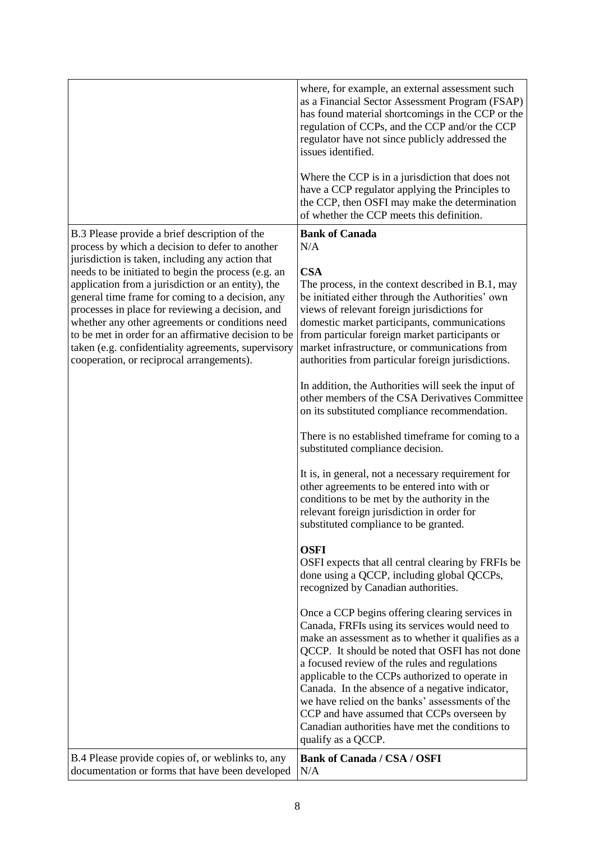|                                                                                                                                                                                                                                                                                                                                                                                                                                                                                      | where, for example, an external assessment such<br>as a Financial Sector Assessment Program (FSAP)<br>has found material shortcomings in the CCP or the<br>regulation of CCPs, and the CCP and/or the CCP<br>regulator have not since publicly addressed the<br>issues identified.                                                                                                                                                                                                                                                          |
|--------------------------------------------------------------------------------------------------------------------------------------------------------------------------------------------------------------------------------------------------------------------------------------------------------------------------------------------------------------------------------------------------------------------------------------------------------------------------------------|---------------------------------------------------------------------------------------------------------------------------------------------------------------------------------------------------------------------------------------------------------------------------------------------------------------------------------------------------------------------------------------------------------------------------------------------------------------------------------------------------------------------------------------------|
|                                                                                                                                                                                                                                                                                                                                                                                                                                                                                      | Where the CCP is in a jurisdiction that does not<br>have a CCP regulator applying the Principles to<br>the CCP, then OSFI may make the determination<br>of whether the CCP meets this definition.                                                                                                                                                                                                                                                                                                                                           |
| B.3 Please provide a brief description of the<br>process by which a decision to defer to another                                                                                                                                                                                                                                                                                                                                                                                     | <b>Bank of Canada</b><br>N/A                                                                                                                                                                                                                                                                                                                                                                                                                                                                                                                |
| jurisdiction is taken, including any action that<br>needs to be initiated to begin the process (e.g. an<br>application from a jurisdiction or an entity), the<br>general time frame for coming to a decision, any<br>processes in place for reviewing a decision, and<br>whether any other agreements or conditions need<br>to be met in order for an affirmative decision to be<br>taken (e.g. confidentiality agreements, supervisory<br>cooperation, or reciprocal arrangements). | <b>CSA</b><br>The process, in the context described in B.1, may<br>be initiated either through the Authorities' own<br>views of relevant foreign jurisdictions for<br>domestic market participants, communications<br>from particular foreign market participants or<br>market infrastructure, or communications from<br>authorities from particular foreign jurisdictions.                                                                                                                                                                 |
|                                                                                                                                                                                                                                                                                                                                                                                                                                                                                      | In addition, the Authorities will seek the input of<br>other members of the CSA Derivatives Committee<br>on its substituted compliance recommendation.                                                                                                                                                                                                                                                                                                                                                                                      |
|                                                                                                                                                                                                                                                                                                                                                                                                                                                                                      | There is no established timeframe for coming to a<br>substituted compliance decision.                                                                                                                                                                                                                                                                                                                                                                                                                                                       |
|                                                                                                                                                                                                                                                                                                                                                                                                                                                                                      | It is, in general, not a necessary requirement for<br>other agreements to be entered into with or<br>conditions to be met by the authority in the<br>relevant foreign jurisdiction in order for<br>substituted compliance to be granted.                                                                                                                                                                                                                                                                                                    |
|                                                                                                                                                                                                                                                                                                                                                                                                                                                                                      | <b>OSFI</b><br>OSFI expects that all central clearing by FRFIs be<br>done using a QCCP, including global QCCPs,<br>recognized by Canadian authorities.                                                                                                                                                                                                                                                                                                                                                                                      |
|                                                                                                                                                                                                                                                                                                                                                                                                                                                                                      | Once a CCP begins offering clearing services in<br>Canada, FRFIs using its services would need to<br>make an assessment as to whether it qualifies as a<br>QCCP. It should be noted that OSFI has not done<br>a focused review of the rules and regulations<br>applicable to the CCPs authorized to operate in<br>Canada. In the absence of a negative indicator,<br>we have relied on the banks' assessments of the<br>CCP and have assumed that CCPs overseen by<br>Canadian authorities have met the conditions to<br>qualify as a QCCP. |
| B.4 Please provide copies of, or weblinks to, any<br>documentation or forms that have been developed                                                                                                                                                                                                                                                                                                                                                                                 | <b>Bank of Canada / CSA / OSFI</b><br>N/A                                                                                                                                                                                                                                                                                                                                                                                                                                                                                                   |